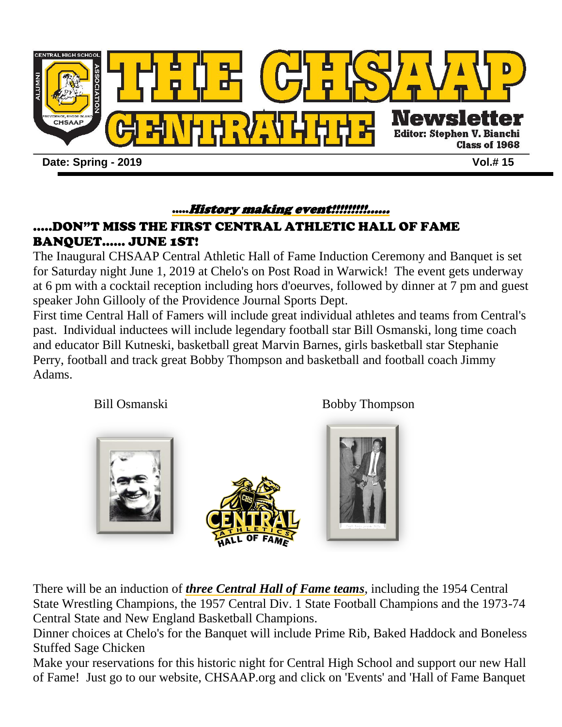

## …..History making event!!!!!!!!!……

## .....DON"T MISS THE FIRST CENTRAL ATHLETIC HALL OF FAME BANQUET…… JUNE 1ST!

The Inaugural CHSAAP Central Athletic Hall of Fame Induction Ceremony and Banquet is set for Saturday night June 1, 2019 at Chelo's on Post Road in Warwick! The event gets underway at 6 pm with a cocktail reception including hors d'oeurves, followed by dinner at 7 pm and guest speaker John Gillooly of the Providence Journal Sports Dept.

First time Central Hall of Famers will include great individual athletes and teams from Central's past. Individual inductees will include legendary football star Bill Osmanski, long time coach and educator Bill Kutneski, basketball great Marvin Barnes, girls basketball star Stephanie Perry, football and track great Bobby Thompson and basketball and football coach Jimmy Adams.

Bill Osmanski Bobby Thompson



There will be an induction of *three Central Hall of Fame teams*, including the 1954 Central State Wrestling Champions, the 1957 Central Div. 1 State Football Champions and the 1973-74 Central State and New England Basketball Champions.

Dinner choices at Chelo's for the Banquet will include Prime Rib, Baked Haddock and Boneless Stuffed Sage Chicken

Make your reservations for this historic night for Central High School and support our new Hall of Fame! Just go to our website, CHSAAP.org and click on 'Events' and 'Hall of Fame Banquet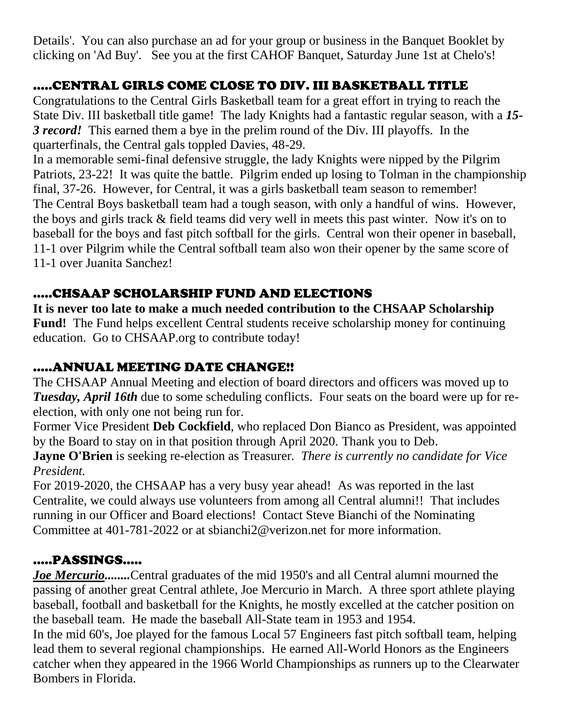Details'. You can also purchase an ad for your group or business in the Banquet Booklet by clicking on 'Ad Buy'. See you at the first CAHOF Banquet, Saturday June 1st at Chelo's!

# .....CENTRAL GIRLS COME CLOSE TO DIV. III BASKETBALL TITLE

Congratulations to the Central Girls Basketball team for a great effort in trying to reach the State Div. III basketball title game! The lady Knights had a fantastic regular season, with a *15- 3 record!* This earned them a bye in the prelim round of the Div. III playoffs. In the quarterfinals, the Central gals toppled Davies, 48-29.

In a memorable semi-final defensive struggle, the lady Knights were nipped by the Pilgrim Patriots, 23-22! It was quite the battle. Pilgrim ended up losing to Tolman in the championship final, 37-26. However, for Central, it was a girls basketball team season to remember! The Central Boys basketball team had a tough season, with only a handful of wins. However, the boys and girls track & field teams did very well in meets this past winter. Now it's on to baseball for the boys and fast pitch softball for the girls. Central won their opener in baseball, 11-1 over Pilgrim while the Central softball team also won their opener by the same score of 11-1 over Juanita Sanchez!

## .....CHSAAP SCHOLARSHIP FUND AND ELECTIONS

**It is never too late to make a much needed contribution to the CHSAAP Scholarship Fund!** The Fund helps excellent Central students receive scholarship money for continuing education. Go to CHSAAP.org to contribute today!

## …..ANNUAL MEETING DATE CHANGE!!

The CHSAAP Annual Meeting and election of board directors and officers was moved up to *Tuesday, April 16th* due to some scheduling conflicts. Four seats on the board were up for reelection, with only one not being run for.

Former Vice President **Deb Cockfield**, who replaced Don Bianco as President, was appointed by the Board to stay on in that position through April 2020. Thank you to Deb.

**Jayne O'Brien** is seeking re-election as Treasurer*. There is currently no candidate for Vice President.*

For 2019-2020, the CHSAAP has a very busy year ahead! As was reported in the last Centralite, we could always use volunteers from among all Central alumni!! That includes running in our Officer and Board elections! Contact Steve Bianchi of the Nominating Committee at 401-781-2022 or at sbianchi2@verizon.net for more information.

## .....PASSINGS.....

*Joe Mercurio........* Central graduates of the mid 1950's and all Central alumni mourned the passing of another great Central athlete, Joe Mercurio in March. A three sport athlete playing baseball, football and basketball for the Knights, he mostly excelled at the catcher position on the baseball team. He made the baseball All-State team in 1953 and 1954.

In the mid 60's, Joe played for the famous Local 57 Engineers fast pitch softball team, helping lead them to several regional championships. He earned All-World Honors as the Engineers catcher when they appeared in the 1966 World Championships as runners up to the Clearwater Bombers in Florida.